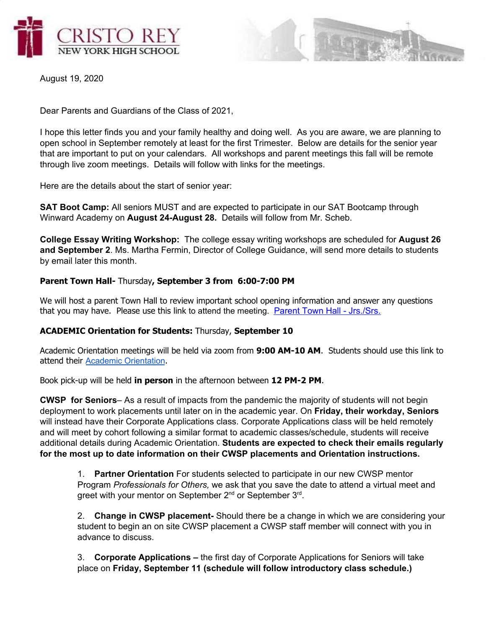



August 19, 2020

Dear Parents and Guardians of the Class of 2021,

I hope this letter finds you and your family healthy and doing well. As you are aware, we are planning to open school in September remotely at least for the first Trimester. Below are details for the senior year that are important to put on your calendars. All workshops and parent meetings this fall will be remote through live zoom meetings. Details will follow with links for the meetings.

Here are the details about the start of senior year:

**SAT Boot Camp:** All seniors MUST and are expected to participate in our SAT Bootcamp through Winward Academy on **August 24-August 28.** Details will follow from Mr. Scheb.

**College Essay Writing Workshop:** The college essay writing workshops are scheduled for **August 26 and September 2**. Ms. Martha Fermin, Director of College Guidance, will send more details to students by email later this month.

# **Parent Town Hall-** Thursday**, September 3 from 6:00-7:00 PM**

We will host a parent Town Hall to review important school opening information and answer any questions that you may have. Please use this link to attend the meeting. Parent Town Hall - [Jrs./Srs.](https://cristoreyny.zoom.us/j/81327000634)

### **ACADEMIC Orientation for Students:** Thursday, **September 10**

Academic Orientation meetings will be held via zoom from **9:00 AM-10 AM**. Students should use this link to attend their [Academic Orientation](https://cristoreyny.zoom.us/j/2606358330?pwd=eXB5Slorb3g4NGVwUmhpbWcxQUk2dz09).

Book pick-up will be held **in person** in the afternoon between **12 PM-2 PM**.

**CWSP for Seniors**– As a result of impacts from the pandemic the majority of students will not begin deployment to work placements until later on in the academic year. On **Friday, their workday, Seniors** will instead have their Corporate Applications class. Corporate Applications class will be held remotely and will meet by cohort following a similar format to academic classes/schedule, students will receive additional details during Academic Orientation. **Students are expected to check their emails regularly for the most up to date information on their CWSP placements and Orientation instructions.**

1. **Partner Orientation** For students selected to participate in our new CWSP mentor Program *Professionals for Others,* we ask that you save the date to attend a virtual meet and greet with your mentor on September 2<sup>nd</sup> or September 3<sup>rd</sup>.

2. **Change in CWSP placement-** Should there be a change in which we are considering your student to begin an on site CWSP placement a CWSP staff member will connect with you in advance to discuss.

3. **Corporate Applications –** the first day of Corporate Applications for Seniors will take place on **Friday, September 11 (schedule will follow introductory class schedule.)**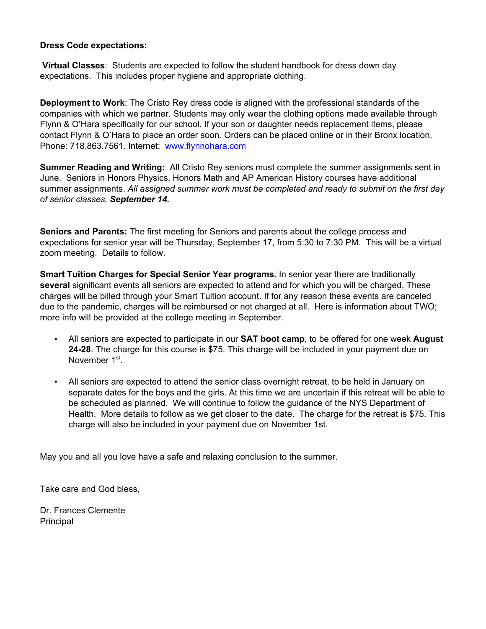# **Dress Code expectations:**

**Virtual Classes**: Students are expected to follow the student handbook for dress down day expectations. This includes proper hygiene and appropriate clothing.

**Deployment to Work**: The Cristo Rey dress code is aligned with the professional standards of the companies with which we partner. Students may only wear the clothing options made available through Flynn & O'Hara specifically for our school. If your son or daughter needs replacement items, please contact Flynn & O'Hara to place an order soon. Orders can be placed online or in their Bronx location. Phone: 718.863.7561. Internet: [www.flynnohara.com](http://www.flynnohara.com/)

**Summer Reading and Writing:** All Cristo Rey seniors must complete the summer assignments sent in June. Seniors in Honors Physics, Honors Math and AP American History courses have additional summer assignments. *All assigned summer work must be completed and ready to submit on the first day of senior classes, September 14.*

**Seniors and Parents:** The first meeting for Seniors and parents about the college process and expectations for senior year will be Thursday, September 17, from 5:30 to 7:30 PM. This will be a virtual zoom meeting. Details to follow.

**Smart Tuition Charges for Special Senior Year programs.** In senior year there are traditionally **several** significant events all seniors are expected to attend and for which you will be charged. These charges will be billed through your Smart Tuition account. If for any reason these events are canceled due to the pandemic, charges will be reimbursed or not charged at all. Here is information about TWO; more info will be provided at the college meeting in September.

- All seniors are expected to participate in our **SAT boot camp**, to be offered for one week **August 24-28**. The charge for this course is \$75. This charge will be included in your payment due on November 1<sup>st</sup>.
- All seniors are expected to attend the senior class overnight retreat, to be held in January on separate dates for the boys and the girls. At this time we are uncertain if this retreat will be able to be scheduled as planned. We will continue to follow the guidance of the NYS Department of Health. More details to follow as we get closer to the date. The charge for the retreat is \$75. This charge will also be included in your payment due on November 1st.

May you and all you love have a safe and relaxing conclusion to the summer.

Take care and God bless,

Dr. Frances Clemente Principal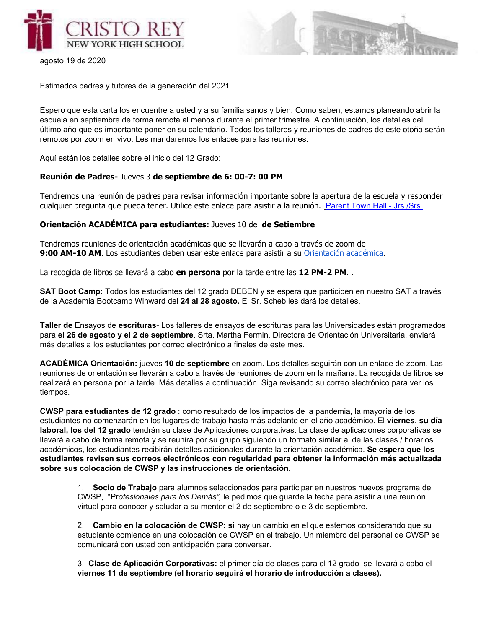



agosto 19 de 2020

Estimados padres y tutores de la generación del 2021

Espero que esta carta los encuentre a usted y a su familia sanos y bien. Como saben, estamos planeando abrir la escuela en septiembre de forma remota al menos durante el primer trimestre. A continuación, los detalles del último año que es importante poner en su calendario. Todos los talleres y reuniones de padres de este otoño serán remotos por zoom en vivo. Les mandaremos los enlaces para las reuniones.

Aquí están los detalles sobre el inicio del 12 Grado:

#### **Reunión de Padres-** Jueves 3 **de septiembre de 6: 00-7: 00 PM**

Tendremos una reunión de padres para revisar información importante sobre la apertura de la escuela y responder cualquier pregunta que pueda tener. Utilice este enlace para asistir a la reunión. Parent Town Hall - [Jrs./Srs.](https://cristoreyny.zoom.us/j/81327000634)

### **Orientación ACADÉMICA para estudiantes:** Jueves 10 de **de Setiembre**

Tendremos reuniones de orientación académicas que se llevarán a cabo a través de zoom de **9:00 AM-10 AM**. Los estudiantes deben usar este enlace para asistir a s[u](https://cristoreyny.zoom.us/j/2606358330?pwd=eXB5Slorb3g4NGVwUmhpbWcxQUk2dz09) [Orientación](https://cristoreyny.zoom.us/j/2606358330?pwd=eXB5Slorb3g4NGVwUmhpbWcxQUk2dz09) académica.

La recogida de libros se llevará a cabo **en persona** por la tarde entre las **12 PM-2 PM**. .

**SAT Boot Camp:** Todos los estudiantes del 12 grado DEBEN y se espera que participen en nuestro SAT a través de la Academia Bootcamp Winward del **24 al 28 agosto.** El Sr. Scheb les dará los detalles.

**Taller de** Ensayos de **escrituras**- Los talleres de ensayos de escrituras para las Universidades están programados para **el 26 de agosto y el 2 de septiembre**. Srta. Martha Fermin, Directora de Orientación Universitaria, enviará más detalles a los estudiantes por correo electrónico a finales de este mes.

**ACADÉMICA Orientación:** jueves **10 de septiembre** en zoom. Los detalles seguirán con un enlace de zoom. Las reuniones de orientación se llevarán a cabo a través de reuniones de zoom en la mañana. La recogida de libros se realizará en persona por la tarde. Más detalles a continuación. Siga revisando su correo electrónico para ver los tiempos.

**CWSP para estudiantes de 12 grado** : como resultado de los impactos de la pandemia, la mayoría de los estudiantes no comenzarán en los lugares de trabajo hasta más adelante en el año académico. El **viernes, su día laboral, los del 12 grado** tendrán su clase de Aplicaciones corporativas. La clase de aplicaciones corporativas se llevará a cabo de forma remota y se reunirá por su grupo siguiendo un formato similar al de las clases / horarios académicos, los estudiantes recibirán detalles adicionales durante la orientación académica. **Se espera que los estudiantes revisen sus correos electrónicos con regularidad para obtener la información más actualizada sobre sus colocación de CWSP y las instrucciones de orientación.**

1. **Socio de Trabajo** para alumnos seleccionados para participar en nuestros nuevos programa de CWSP, "Pr*ofesionales para los Demás",* le pedimos que guarde la fecha para asistir a una reunión virtual para conocer y saludar a su mentor el 2 de septiembre o e 3 de septiembre.

2. **Cambio en la colocación de CWSP: si** hay un cambio en el que estemos considerando que su estudiante comience en una colocación de CWSP en el trabajo. Un miembro del personal de CWSP se comunicará con usted con anticipación para conversar.

3. **Clase de Aplicación Corporativas:** el primer día de clases para el 12 grado se llevará a cabo el **viernes 11 de septiembre (el horario seguirá el horario de introducción a clases).**